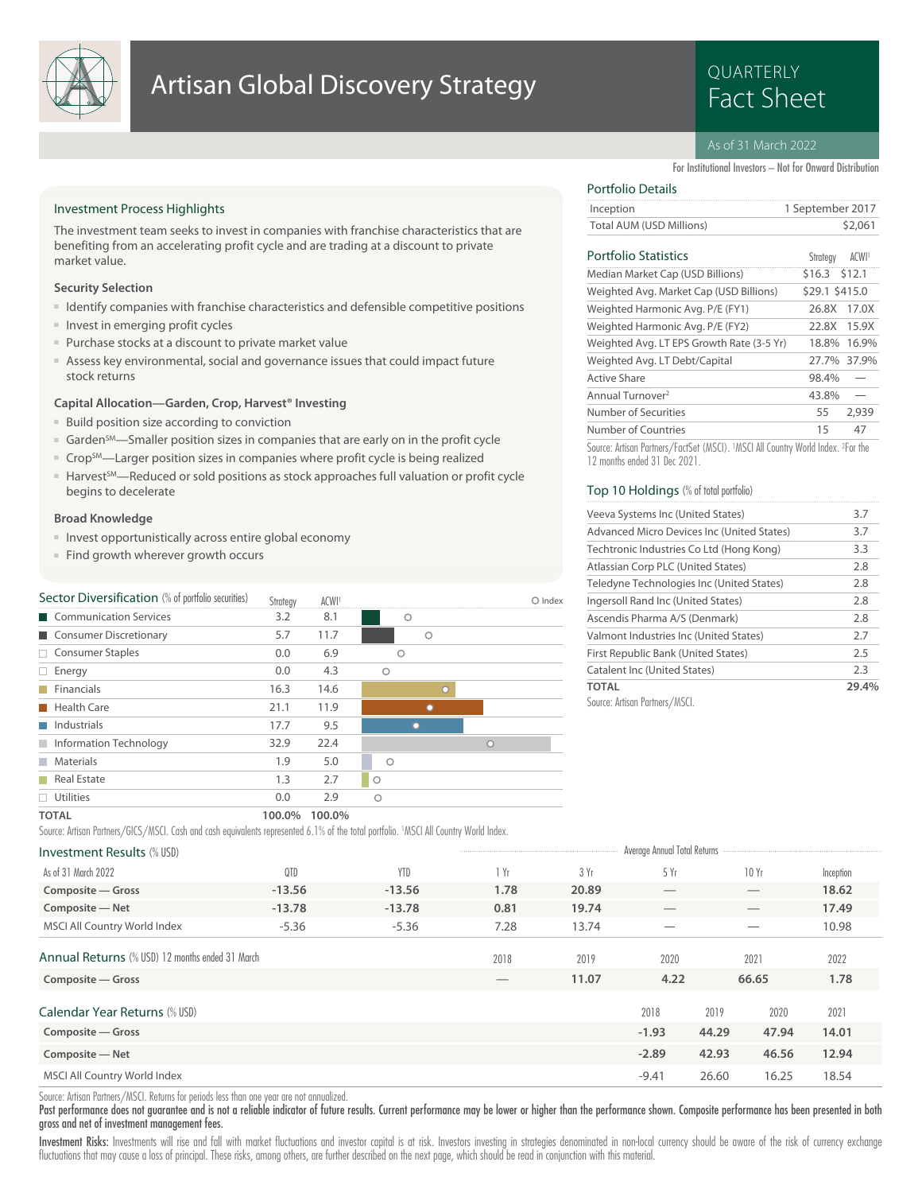

# **Artisan Global Discovery Strategy Example 20 Artisan Global Discovery Strategy**

# QUARTERLY

# As of 31 March 2022

For Institutional Investors – Not for Onward Distribution

# Investment Process Highlights

The investment team seeks to invest in companies with franchise characteristics that are benefiting from an accelerating profit cycle and are trading at a discount to private market value.

## **Security Selection**

- Identify companies with franchise characteristics and defensible competitive positions
- Invest in emerging profit cycles
- Purchase stocks at a discount to private market value
- Assess key environmental, social and governance issues that could impact future stock returns

# **Capital Allocation—Garden, Crop, Harvest® Investing**

- Build position size according to conviction
- Garden<sup>SM</sup>—Smaller position sizes in companies that are early on in the profit cycle
- Crop<sup>SM</sup>—Larger position sizes in companies where profit cycle is being realized
- Harvest<sup>5M</sup>—Reduced or sold positions as stock approaches full valuation or profit cycle begins to decelerate

### **Broad Knowledge**

- Invest opportunistically across entire global economy
- Find growth wherever growth occurs

| Sector Diversification (% of portfolio securities) | Strategy | ACWI <sup>1</sup> |            | O Index |
|----------------------------------------------------|----------|-------------------|------------|---------|
| Communication Services                             | 3.2      | 8.1               | О          |         |
| Consumer Discretionary                             | 5.7      | 11.7              | $\circ$    |         |
| □ Consumer Staples                                 | 0.0      | 6.9               | O          |         |
| $\Box$ Energy                                      | 0.0      | 4.3               | $\circ$    |         |
| $\blacksquare$ Financials                          | 16.3     | 14.6              |            |         |
| <b>Health Care</b>                                 | 21.1     | 11.9              |            |         |
| Industrials                                        | 17.7     | 9.5               |            |         |
| Information Technology                             | 32.9     | 22.4              |            | n       |
| <b>Materials</b>                                   | 1.9      | 5.0               | $\bigcirc$ |         |
| Real Estate                                        | 1.3      | 2.7               | $\circ$    |         |
| $\Box$ Utilities                                   | 0.0      | 2.9               | $\circ$    |         |
| <b>TOTAL</b>                                       | 100.0%   | 100.0%            |            |         |

#### Source: Artisan Partners/GICS/MSCI. Cash and cash equivalents represented 6.1% of the total portfolio. 1MSCI All Country World Index.

| <b>Investment Results (% USD)</b>               |          |            |      |       | Average Annual Total Returns |       |       |           |  |
|-------------------------------------------------|----------|------------|------|-------|------------------------------|-------|-------|-----------|--|
| As of 31 March 2022                             | QTD      | <b>YTD</b> | 1 Yr | 3 Yr  | 5Yr                          |       | 10Yr  | Inception |  |
| Composite - Gross                               | $-13.56$ | $-13.56$   | 1.78 | 20.89 |                              |       |       | 18.62     |  |
| Composite - Net                                 | $-13.78$ | $-13.78$   | 0.81 | 19.74 |                              |       |       | 17.49     |  |
| MSCI All Country World Index                    | $-5.36$  | $-5.36$    | 7.28 | 13.74 |                              |       |       | 10.98     |  |
| Annual Returns (% USD) 12 months ended 31 March |          |            | 2018 | 2019  | 2020                         |       | 2021  | 2022      |  |
| Composite - Gross                               |          |            |      | 11.07 | 4.22                         |       | 66.65 | 1.78      |  |
| Calendar Year Returns (% USD)                   |          |            |      |       | 2018                         | 2019  | 2020  | 2021      |  |
| Composite – Gross                               |          |            |      |       | $-1.93$                      | 44.29 | 47.94 | 14.01     |  |
| Composite - Net                                 |          |            |      |       | $-2.89$                      | 42.93 | 46.56 | 12.94     |  |
| MSCI All Country World Index                    |          |            |      |       | $-9.41$                      | 26.60 | 16.25 | 18.54     |  |

Source: Artisan Partners/MSCI. Returns for periods less than one year are not annualized.

Past performance does not guarantee and is not a reliable indicator of future results. Current performance may be lower or higher than the performance shown. Composite performance has been presented in both gross and net of investment management fees.

Investment Risks: Investments will rise and fall with market fluctuations and investor capital is at risk. Investors investing in strategies denominated in non-local currency should be aware of the risk of currency exchang fluctuations that may cause a loss of principal. These risks, among others, are further described on the next page, which should be read in conjunction with this material.

# Portfolio Details

|                          | Inception | 1 September 2017 |
|--------------------------|-----------|------------------|
| Total AUM (USD Millions) |           | \$2,061          |

# Portfolio Statistics ACWI<sup>1</sup>

| Portfolio Statistics                                                          | Strateav       | ACWI <sup>1</sup> |
|-------------------------------------------------------------------------------|----------------|-------------------|
| Median Market Cap (USD Billions)                                              | \$16.3 \$12.1  |                   |
| Weighted Avg. Market Cap (USD Billions)                                       | \$29.1 \$415.0 |                   |
| Weighted Harmonic Avg. P/E (FY1)                                              | 26.8X          | 17.0X             |
| Weighted Harmonic Avg. P/E (FY2)                                              | 22.8X          | 15.9X             |
| Weighted Avg. LT EPS Growth Rate (3-5 Yr)                                     |                | 18.8% 16.9%       |
| Weighted Avg. LT Debt/Capital                                                 |                | 27.7% 37.9%       |
| <b>Active Share</b>                                                           | 98.4%          |                   |
| Annual Turnover <sup>2</sup>                                                  | 43.8%          |                   |
| Number of Securities                                                          | 55             | 2,939             |
| Number of Countries                                                           | 15             | 47                |
| Course: Artisan Dartners / CastCot (MCCI) MCCLAH Country World Indox 2 Cortho |                |                   |

Source: Artisan Partners/FactSet (MSCI). <sup>1</sup>MSCI All Country World Index. <sup>2</sup> For the 12 months ended 31 Dec 2021.

# Top 10 Holdings (% of total portfolio)

| Veeva Systems Inc (United States)          | 3.7   |
|--------------------------------------------|-------|
| Advanced Micro Devices Inc (United States) | 3.7   |
| Techtronic Industries Co Ltd (Hong Kong)   | 3.3   |
| Atlassian Corp PLC (United States)         | 2.8   |
| Teledyne Technologies Inc (United States)  | 2.8   |
| Ingersoll Rand Inc (United States)         | 2.8   |
| Ascendis Pharma A/S (Denmark)              | 2.8   |
| Valmont Industries Inc (United States)     | 2.7   |
| First Republic Bank (United States)        | 2.5   |
| Catalent Inc (United States)               | 2.3   |
| <b>TOTAL</b>                               | 29.4% |
| Cource: Artican Partners /MSCI             |       |

Source: Artisan Partners/MSCI.